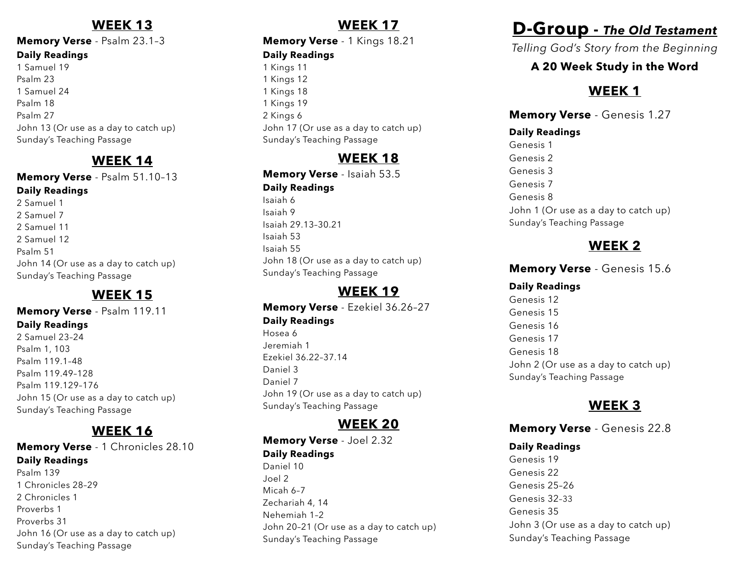### **WEEK 13**

#### **Memory Verse** - Psalm 23.1–3 **Daily Readings** 1 Samuel 19 Psalm 23 1 Samuel 24 Psalm 18 Psalm 27 John 13 (Or use as a day to catch up)

Sunday's Teaching Passage

### **WEEK 14**

#### **Memory Verse** - Psalm 51.10–13 **Daily Readings**

2 Samuel 1 2 Samuel 7 2 Samuel 11 2 Samuel 12 Psalm 51 John 14 (Or use as a day to catch up) Sunday's Teaching Passage

### **WEEK 15**

#### **Memory Verse** - Psalm 119.11 **Daily Readings**

2 Samuel 23–24 Psalm 1, 103 Psalm 119.1–48 Psalm 119.49–128 Psalm 119.129–176 John 15 (Or use as a day to catch up) Sunday's Teaching Passage

### **WEEK 16**

#### **Memory Verse** - 1 Chronicles 28.10 **Daily Readings** Psalm 139 1 Chronicles 28–29 2 Chronicles 1

Proverbs 1 Proverbs 31 John 16 (Or use as a day to catch up) Sunday's Teaching Passage

### **WEEK 17**

### **Memory Verse** - 1 Kings 18.21

#### **Daily Readings**

1 Kings 11 1 Kings 12 1 Kings 18 1 Kings 19 2 Kings 6 John 17 (Or use as a day to catch up) Sunday's Teaching Passage

# **WEEK 18**

**Memory Verse** - Isaiah 53.5 **Daily Readings** Isaiah 6

Isaiah 9 Isaiah 29.13–30.21 Isaiah 53 Isaiah 55 John 18 (Or use as a day to catch up) Sunday's Teaching Passage

### **WEEK 19**

**Memory Verse** - Ezekiel 36.26–27 **Daily Readings** Hosea 6 Jeremiah 1 Ezekiel 36.22–37.14

Daniel 3 Daniel 7 John 19 (Or use as a day to catch up) Sunday's Teaching Passage

### **WEEK 20**

**Memory Verse** - Joel 2.32 **Daily Readings** Daniel 10 Joel 2 Micah 6–7 Zechariah 4, 14 Nehemiah 1–2 John 20–21 (Or use as a day to catch up) Sunday's Teaching Passage

# **D-Group -** *The Old Testament*

*Telling God's Story from the Beginning*

### **A 20 Week Study in the Word**

# **WEEK 1**

**Memory Verse** - Genesis 1.27 **Daily Readings** Genesis 1 Genesis 2 Genesis 3 Genesis 7 Genesis 8 John 1 (Or use as a day to catch up) Sunday's Teaching Passage

# **WEEK 2**

### **Memory Verse** - Genesis 15.6

### **Daily Readings**

Genesis 12 Genesis 15 Genesis 16 Genesis 17 Genesis 18 John 2 (Or use as a day to catch up) Sunday's Teaching Passage

# **WEEK 3**

**Memory Verse** - Genesis 22.8

### **Daily Readings**

Genesis 19 Genesis 22 Genesis 25–26 Genesis 32–33 Genesis 35 John 3 (Or use as a day to catch up) Sunday's Teaching Passage